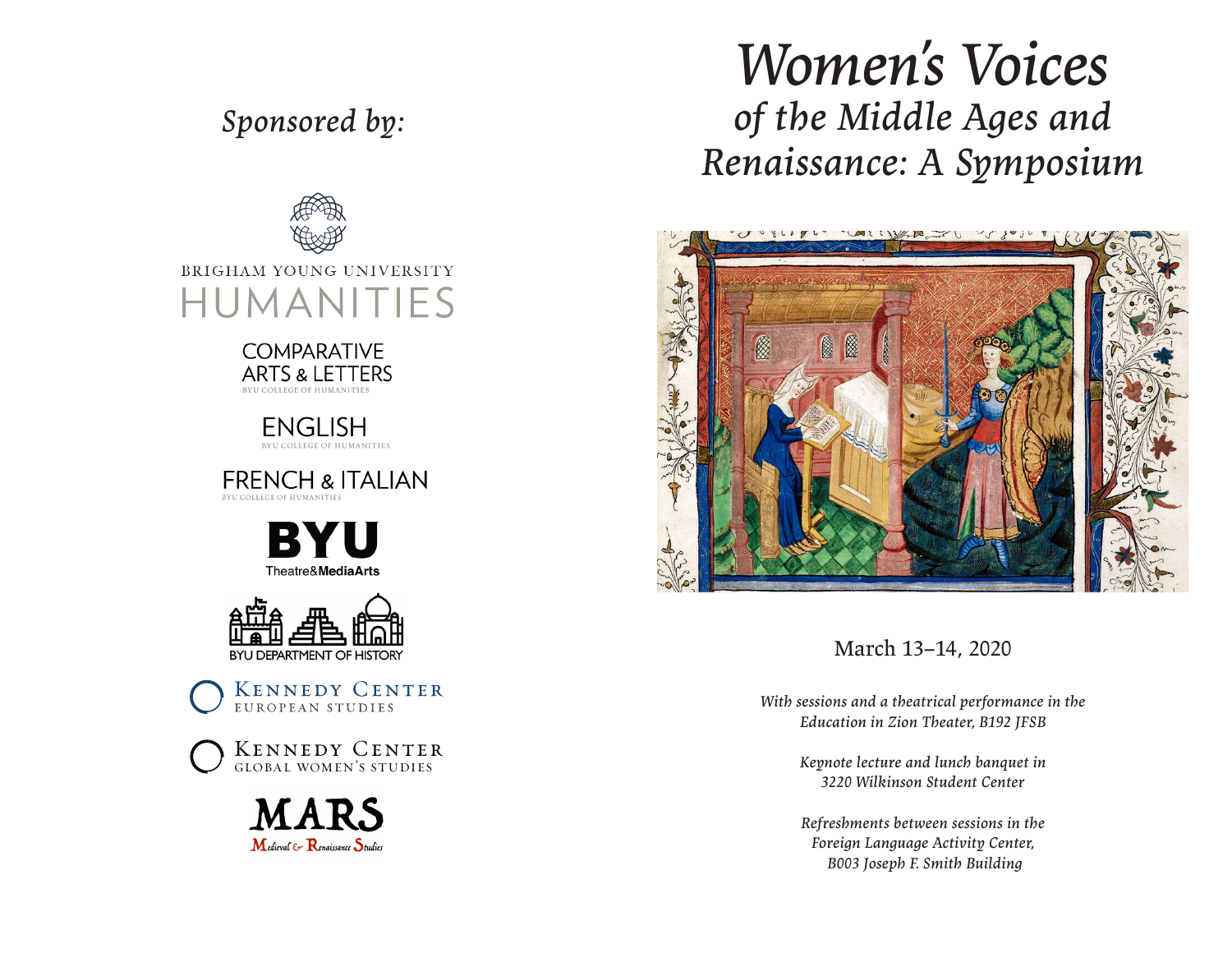## *Sponsored by:*



## BRIGHAM YOUNG UNIVERSITY HUMANITIES



**ENGLISH** BYU COLLEGE OF HUMANITIES

**FRENCH & ITALIAN** 





**KENNEDY CENTER** EUROPEAN STUDIES





# *Women's Voices of the Middle Ages and Renaissance: A Symposium*



March 13–14, 2020

*With sessions and a theatrical performance in the Education in Zion Theater, B192 JFSB*

> *Keynote lecture and lunch banquet in 3220 Wilkinson Student Center*

> *Refreshments between sessions in the Foreign Language Activity Center, B003 Joseph F. Smith Building*